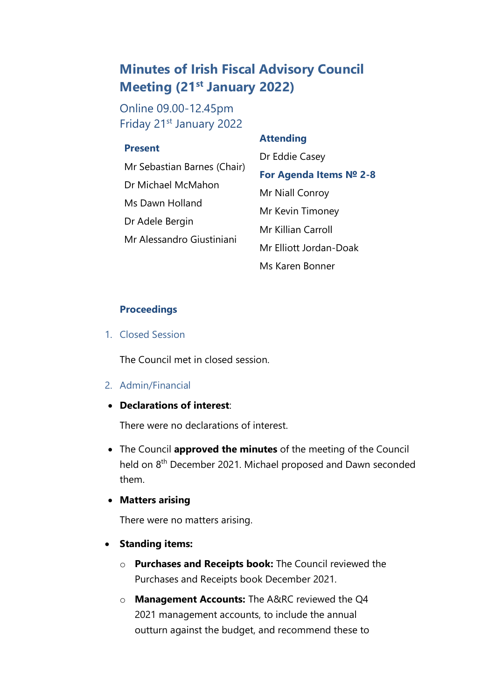## **Minutes of Irish Fiscal Advisory Council Meeting (21st January 2022)**

Online 09.00-12.45pm Friday 21st January 2022

## **Present**

# • Mr Sebastian Barnes (Chair) • Dr Michael McMahon Ms Dawn Holland Dr Adele Bergin • Mr Alessandro Giustiniani

## **Attending**

Dr Eddie Casey **For Agenda Items № 2-8**  Mr Niall Conroy • Mr Kevin Timoney • Mr Killian Carroll • Mr Elliott Jordan-Doak • Ms Karen Bonner

#### **Proceedings**

1. Closed Session

The Council met in closed session.

- 2. Admin/Financial
- **Declarations of interest**:

There were no declarations of interest.

- The Council **approved the minutes** of the meeting of the Council held on 8<sup>th</sup> December 2021. Michael proposed and Dawn seconded them.
- **Matters arising**

There were no matters arising.

- **Standing items:**
	- o **Purchases and Receipts book:** The Council reviewed the Purchases and Receipts book December 2021.
	- o **Management Accounts:** The A&RC reviewed the Q4 2021 management accounts, to include the annual outturn against the budget, and recommend these to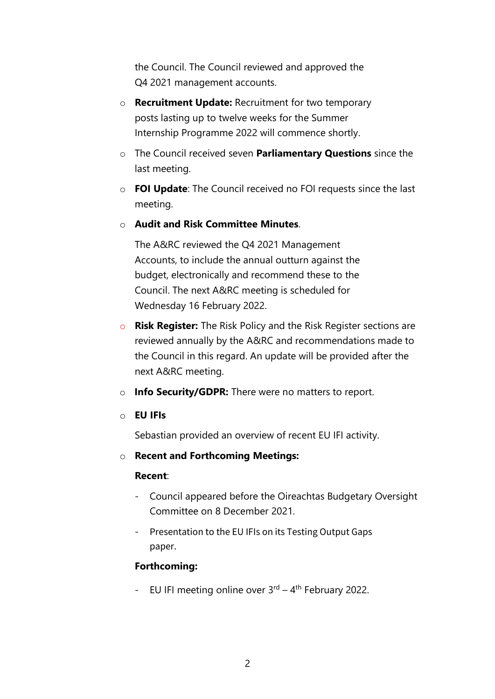the Council. The Council reviewed and approved the Q4 2021 management accounts.

- o **Recruitment Update:** Recruitment for two temporary posts lasting up to twelve weeks for the Summer Internship Programme 2022 will commence shortly.
- o The Council received seven **Parliamentary Questions** since the last meeting.
- o **FOI Update**: The Council received no FOI requests since the last meeting.
- o **Audit and Risk Committee Minutes**.

The A&RC reviewed the Q4 2021 Management Accounts, to include the annual outturn against the budget, electronically and recommend these to the Council. The next A&RC meeting is scheduled for Wednesday 16 February 2022.

- o **Risk Register:** The Risk Policy and the Risk Register sections are reviewed annually by the A&RC and recommendations made to the Council in this regard. An update will be provided after the next A&RC meeting.
- o **Info Security/GDPR:** There were no matters to report.
- o **EU IFIs**

Sebastian provided an overview of recent EU IFI activity.

o **Recent and Forthcoming Meetings:**

## **Recent**:

- Council appeared before the Oireachtas Budgetary Oversight Committee on 8 December 2021.
- Presentation to the EU IFIs on its Testing Output Gaps paper.

## **Forthcoming:**

- EU IFI meeting online over  $3<sup>rd</sup> - 4<sup>th</sup>$  February 2022.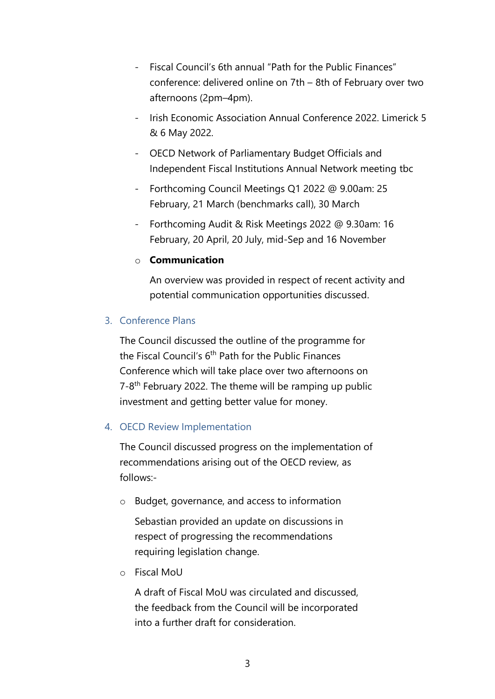- Fiscal Council's 6th annual "Path for the Public Finances" conference: delivered online on 7th – 8th of February over two afternoons (2pm–4pm).
- Irish Economic Association Annual Conference 2022. Limerick 5 & 6 May 2022.
- OECD Network of Parliamentary Budget Officials and Independent Fiscal Institutions Annual Network meeting tbc
- Forthcoming Council Meetings Q1 2022 @ 9.00am: 25 February, 21 March (benchmarks call), 30 March
- Forthcoming Audit & Risk Meetings 2022 @ 9.30am: 16 February, 20 April, 20 July, mid-Sep and 16 November

## o **Communication**

An overview was provided in respect of recent activity and potential communication opportunities discussed.

## 3. Conference Plans

The Council discussed the outline of the programme for the Fiscal Council's 6<sup>th</sup> Path for the Public Finances Conference which will take place over two afternoons on 7-8<sup>th</sup> February 2022. The theme will be ramping up public investment and getting better value for money.

## 4. OECD Review Implementation

The Council discussed progress on the implementation of recommendations arising out of the OECD review, as follows:-

o Budget, governance, and access to information

Sebastian provided an update on discussions in respect of progressing the recommendations requiring legislation change.

o Fiscal MoU

A draft of Fiscal MoU was circulated and discussed, the feedback from the Council will be incorporated into a further draft for consideration.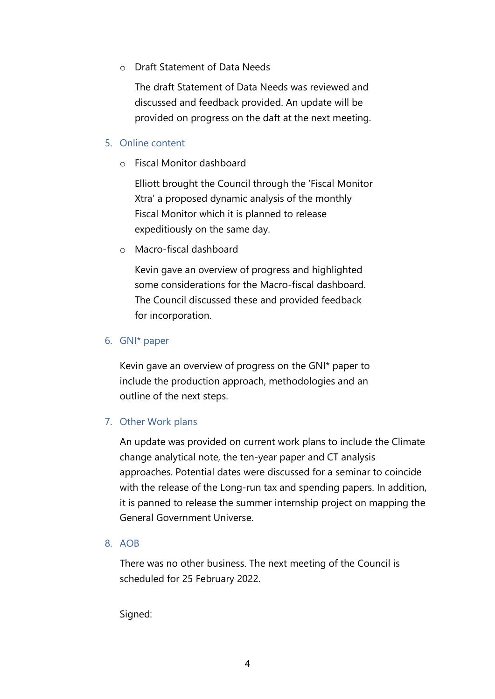o Draft Statement of Data Needs

The draft Statement of Data Needs was reviewed and discussed and feedback provided. An update will be provided on progress on the daft at the next meeting.

## 5. Online content

o Fiscal Monitor dashboard

Elliott brought the Council through the 'Fiscal Monitor Xtra' a proposed dynamic analysis of the monthly Fiscal Monitor which it is planned to release expeditiously on the same day.

o Macro-fiscal dashboard

Kevin gave an overview of progress and highlighted some considerations for the Macro-fiscal dashboard. The Council discussed these and provided feedback for incorporation.

## 6. GNI\* paper

Kevin gave an overview of progress on the GNI\* paper to include the production approach, methodologies and an outline of the next steps.

## 7. Other Work plans

An update was provided on current work plans to include the Climate change analytical note, the ten-year paper and CT analysis approaches. Potential dates were discussed for a seminar to coincide with the release of the Long-run tax and spending papers. In addition, it is panned to release the summer internship project on mapping the General Government Universe.

## 8. AOB

There was no other business. The next meeting of the Council is scheduled for 25 February 2022.

Signed: